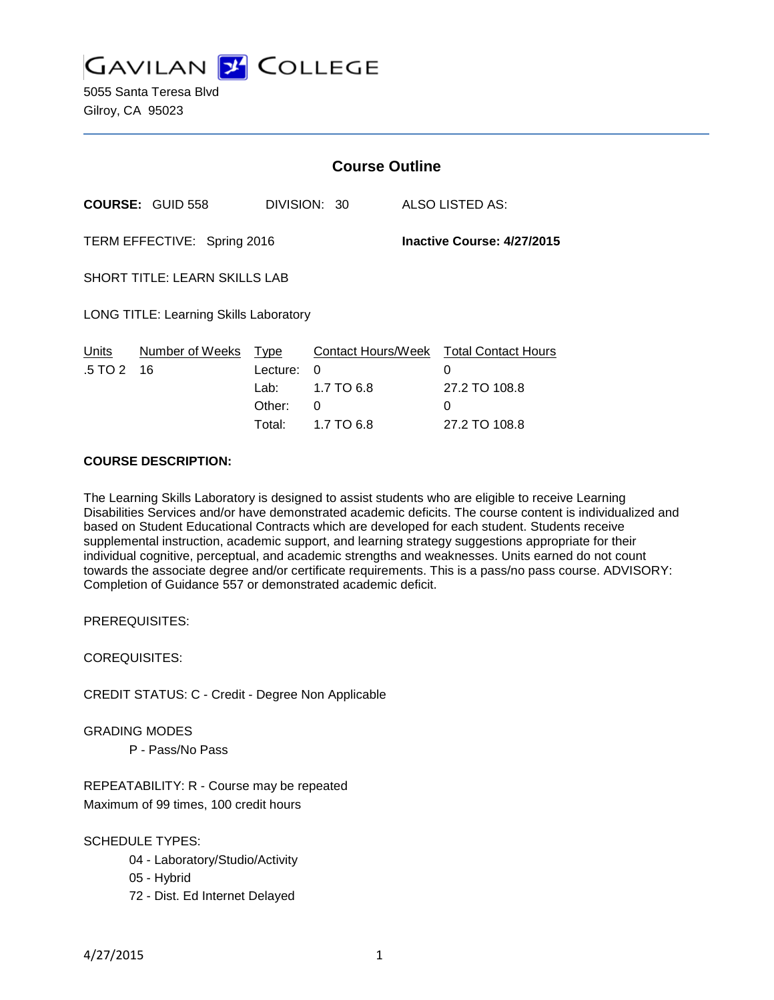

5055 Santa Teresa Blvd Gilroy, CA 95023

|                                                           |                         | <b>Course Outline</b> |              |  |                                             |
|-----------------------------------------------------------|-------------------------|-----------------------|--------------|--|---------------------------------------------|
|                                                           | <b>COURSE: GUID 558</b> |                       | DIVISION: 30 |  | ALSO LISTED AS:                             |
| TERM EFFECTIVE: Spring 2016<br>Inactive Course: 4/27/2015 |                         |                       |              |  |                                             |
| <b>SHORT TITLE: LEARN SKILLS LAB</b>                      |                         |                       |              |  |                                             |
| <b>LONG TITLE: Learning Skills Laboratory</b>             |                         |                       |              |  |                                             |
| Units<br>.5 TO 2                                          | Number of Weeks<br>16   | Type<br>Lecture:      | 0            |  | Contact Hours/Week Total Contact Hours<br>0 |
|                                                           |                         | Lab: L                | 1.7 TO 6.8   |  | 27.2 TO 108.8                               |
|                                                           |                         | Other:                | 0            |  | 0                                           |
|                                                           |                         | Total:                | 1.7 TO 6.8   |  | 27.2 TO 108.8                               |

#### **COURSE DESCRIPTION:**

The Learning Skills Laboratory is designed to assist students who are eligible to receive Learning Disabilities Services and/or have demonstrated academic deficits. The course content is individualized and based on Student Educational Contracts which are developed for each student. Students receive supplemental instruction, academic support, and learning strategy suggestions appropriate for their individual cognitive, perceptual, and academic strengths and weaknesses. Units earned do not count towards the associate degree and/or certificate requirements. This is a pass/no pass course. ADVISORY: Completion of Guidance 557 or demonstrated academic deficit.

PREREQUISITES:

COREQUISITES:

CREDIT STATUS: C - Credit - Degree Non Applicable

GRADING MODES

P - Pass/No Pass

REPEATABILITY: R - Course may be repeated Maximum of 99 times, 100 credit hours

SCHEDULE TYPES:

- 04 Laboratory/Studio/Activity
- 05 Hybrid
- 72 Dist. Ed Internet Delayed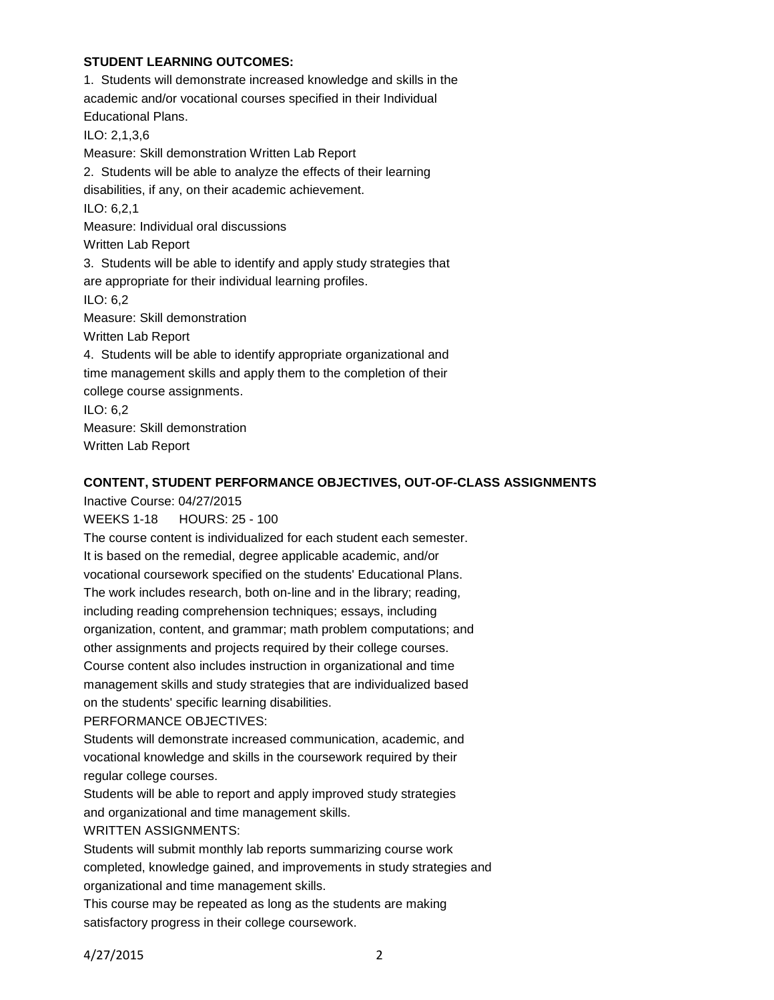## **STUDENT LEARNING OUTCOMES:**

1. Students will demonstrate increased knowledge and skills in the academic and/or vocational courses specified in their Individual Educational Plans. ILO: 2,1,3,6 Measure: Skill demonstration Written Lab Report 2. Students will be able to analyze the effects of their learning disabilities, if any, on their academic achievement. ILO: 6,2,1 Measure: Individual oral discussions Written Lab Report 3. Students will be able to identify and apply study strategies that are appropriate for their individual learning profiles. ILO: 6,2 Measure: Skill demonstration Written Lab Report 4. Students will be able to identify appropriate organizational and time management skills and apply them to the completion of their college course assignments. ILO: 6,2 Measure: Skill demonstration Written Lab Report

## **CONTENT, STUDENT PERFORMANCE OBJECTIVES, OUT-OF-CLASS ASSIGNMENTS**

Inactive Course: 04/27/2015

WEEKS 1-18 HOURS: 25 - 100

The course content is individualized for each student each semester. It is based on the remedial, degree applicable academic, and/or vocational coursework specified on the students' Educational Plans.

The work includes research, both on-line and in the library; reading, including reading comprehension techniques; essays, including organization, content, and grammar; math problem computations; and other assignments and projects required by their college courses. Course content also includes instruction in organizational and time management skills and study strategies that are individualized based on the students' specific learning disabilities.

#### PERFORMANCE OBJECTIVES:

Students will demonstrate increased communication, academic, and vocational knowledge and skills in the coursework required by their regular college courses.

Students will be able to report and apply improved study strategies and organizational and time management skills.

#### WRITTEN ASSIGNMENTS:

Students will submit monthly lab reports summarizing course work completed, knowledge gained, and improvements in study strategies and organizational and time management skills.

This course may be repeated as long as the students are making satisfactory progress in their college coursework.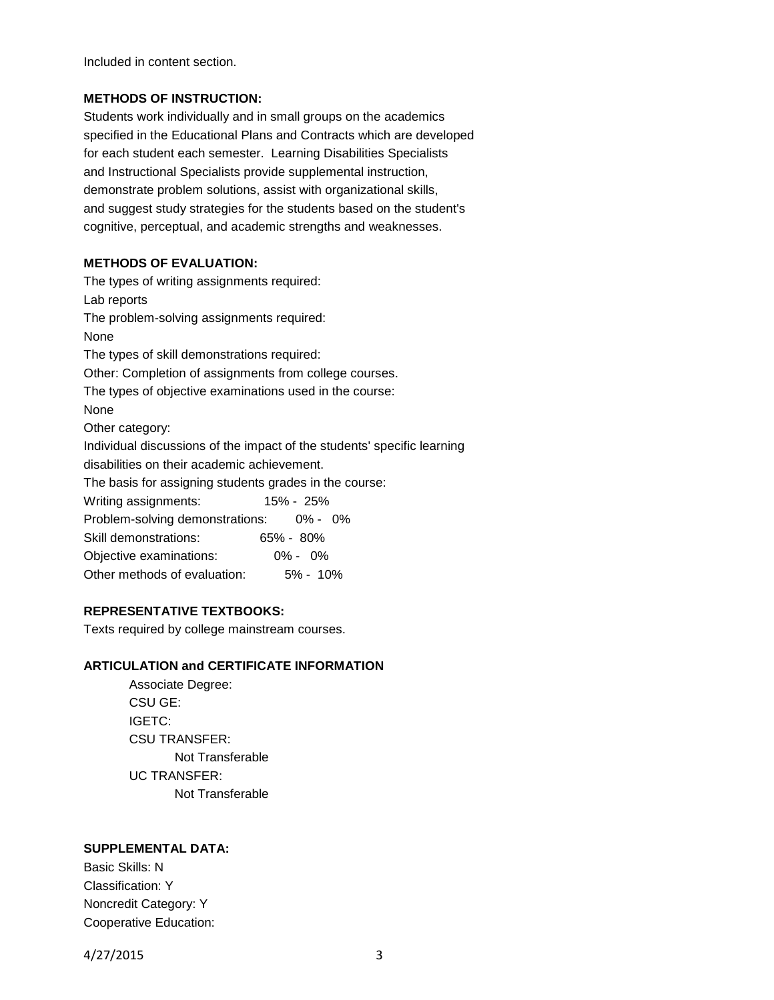Included in content section.

## **METHODS OF INSTRUCTION:**

Students work individually and in small groups on the academics specified in the Educational Plans and Contracts which are developed for each student each semester. Learning Disabilities Specialists and Instructional Specialists provide supplemental instruction, demonstrate problem solutions, assist with organizational skills, and suggest study strategies for the students based on the student's cognitive, perceptual, and academic strengths and weaknesses.

#### **METHODS OF EVALUATION:**

The types of writing assignments required: Lab reports The problem-solving assignments required: None The types of skill demonstrations required: Other: Completion of assignments from college courses. The types of objective examinations used in the course: None Other category: Individual discussions of the impact of the students' specific learning disabilities on their academic achievement. The basis for assigning students grades in the course: Writing assignments: 15% - 25% Problem-solving demonstrations: 0% - 0% Skill demonstrations: 65% - 80% Objective examinations: 0% - 0% Other methods of evaluation: 5% - 10%

## **REPRESENTATIVE TEXTBOOKS:**

Texts required by college mainstream courses.

# **ARTICULATION and CERTIFICATE INFORMATION**

Associate Degree: CSU GE: IGETC: CSU TRANSFER: Not Transferable UC TRANSFER: Not Transferable

# **SUPPLEMENTAL DATA:**

Basic Skills: N Classification: Y Noncredit Category: Y Cooperative Education:

4/27/2015 3